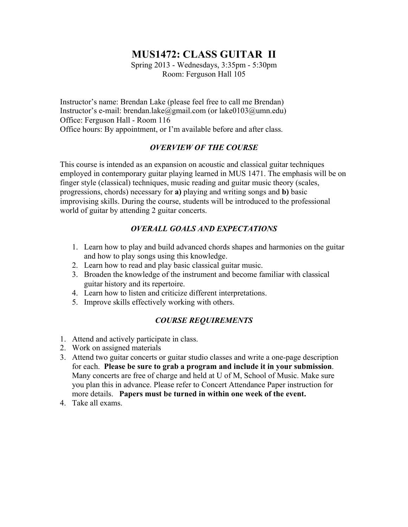# **MUS1472: CLASS GUITAR II**

Spring 2013 - Wednesdays, 3:35pm - 5:30pm Room: Ferguson Hall 105

Instructor's name: Brendan Lake (please feel free to call me Brendan) Instructor's e-mail: brendan.lake@gmail.com (or lake0103@umn.edu) Office: Ferguson Hall - Room 116 Office hours: By appointment, or I'm available before and after class.

## *OVERVIEW OF THE COURSE*

This course is intended as an expansion on acoustic and classical guitar techniques employed in contemporary guitar playing learned in MUS 1471. The emphasis will be on finger style (classical) techniques, music reading and guitar music theory (scales, progressions, chords) necessary for **a)** playing and writing songs and **b)** basic improvising skills. During the course, students will be introduced to the professional world of guitar by attending 2 guitar concerts.

## *OVERALL GOALS AND EXPECTATIONS*

- 1. Learn how to play and build advanced chords shapes and harmonies on the guitar and how to play songs using this knowledge.
- 2. Learn how to read and play basic classical guitar music.
- 3. Broaden the knowledge of the instrument and become familiar with classical guitar history and its repertoire.
- 4. Learn how to listen and criticize different interpretations.
- 5. Improve skills effectively working with others.

### *COURSE REQUIREMENTS*

- 1. Attend and actively participate in class.
- 2. Work on assigned materials
- 3. Attend two guitar concerts or guitar studio classes and write a one-page description for each. **Please be sure to grab a program and include it in your submission**. Many concerts are free of charge and held at U of M, School of Music. Make sure you plan this in advance. Please refer to Concert Attendance Paper instruction for more details. **Papers must be turned in within one week of the event.**
- 4. Take all exams.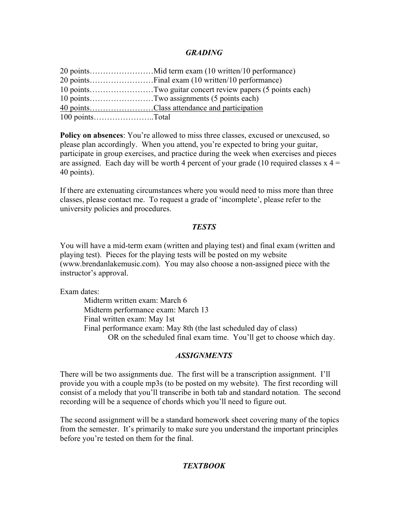#### *GRADING*

| 10 pointsTwo guitar concert review papers (5 points each) |
|-----------------------------------------------------------|
| 10 pointsTwo assignments (5 points each)                  |
| 40 pointsClass attendance and participation               |
|                                                           |

**Policy on absences**: You're allowed to miss three classes, excused or unexcused, so please plan accordingly. When you attend, you're expected to bring your guitar, participate in group exercises, and practice during the week when exercises and pieces are assigned. Each day will be worth 4 percent of your grade (10 required classes  $x = 4$ 40 points).

If there are extenuating circumstances where you would need to miss more than three classes, please contact me. To request a grade of 'incomplete', please refer to the university policies and procedures.

#### *TESTS*

You will have a mid-term exam (written and playing test) and final exam (written and playing test). Pieces for the playing tests will be posted on my website (www.brendanlakemusic.com). You may also choose a non-assigned piece with the instructor's approval.

Exam dates:

Midterm written exam: March 6 Midterm performance exam: March 13 Final written exam: May 1st Final performance exam: May 8th (the last scheduled day of class) OR on the scheduled final exam time. You'll get to choose which day.

#### *ASSIGNMENTS*

There will be two assignments due. The first will be a transcription assignment. I'll provide you with a couple mp3s (to be posted on my website). The first recording will consist of a melody that you'll transcribe in both tab and standard notation. The second recording will be a sequence of chords which you'll need to figure out.

The second assignment will be a standard homework sheet covering many of the topics from the semester. It's primarily to make sure you understand the important principles before you're tested on them for the final.

#### *TEXTBOOK*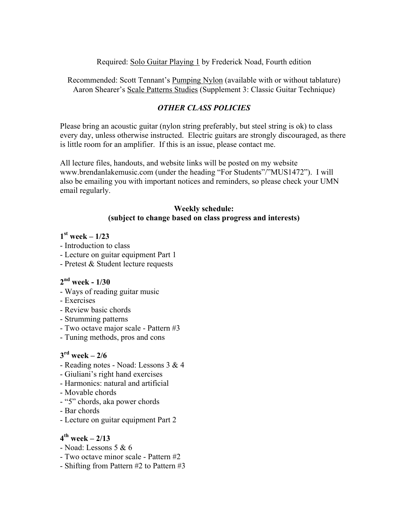#### Required: Solo Guitar Playing 1 by Frederick Noad, Fourth edition

Recommended: Scott Tennant's Pumping Nylon (available with or without tablature) Aaron Shearer's Scale Patterns Studies (Supplement 3: Classic Guitar Technique)

### *OTHER CLASS POLICIES*

Please bring an acoustic guitar (nylon string preferably, but steel string is ok) to class every day, unless otherwise instructed. Electric guitars are strongly discouraged, as there is little room for an amplifier. If this is an issue, please contact me.

All lecture files, handouts, and website links will be posted on my website www.brendanlakemusic.com (under the heading "For Students"/"MUS1472"). I will also be emailing you with important notices and reminders, so please check your UMN email regularly.

#### **Weekly schedule: (subject to change based on class progress and interests)**

## **1st week – 1/23**

- Introduction to class
- Lecture on guitar equipment Part 1
- Pretest & Student lecture requests

### **2nd week - 1/30**

- Ways of reading guitar music
- Exercises
- Review basic chords
- Strumming patterns
- Two octave major scale Pattern #3
- Tuning methods, pros and cons

### $3<sup>rd</sup>$  week – 2/6

- Reading notes Noad: Lessons 3 & 4
- Giuliani's right hand exercises
- Harmonics: natural and artificial
- Movable chords
- "5" chords, aka power chords
- Bar chords
- Lecture on guitar equipment Part 2

## **4th week – 2/13**

- Noad: Lessons 5 & 6
- Two octave minor scale Pattern #2
- Shifting from Pattern #2 to Pattern #3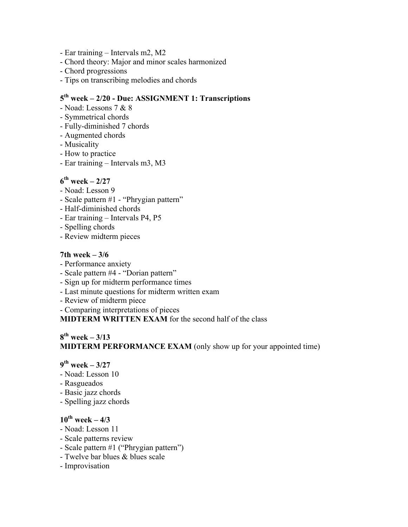- Ear training Intervals m2, M2
- Chord theory: Major and minor scales harmonized
- Chord progressions
- Tips on transcribing melodies and chords

# **5th week – 2/20 - Due: ASSIGNMENT 1: Transcriptions**

- Noad: Lessons 7 & 8
- Symmetrical chords
- Fully-diminished 7 chords
- Augmented chords
- Musicality
- How to practice
- Ear training Intervals m3, M3

### **6th week – 2/27**

- Noad: Lesson 9
- Scale pattern #1 "Phrygian pattern"
- Half-diminished chords
- Ear training Intervals P4, P5
- Spelling chords
- Review midterm pieces

#### **7th week – 3/6**

- Performance anxiety
- Scale pattern #4 "Dorian pattern"
- Sign up for midterm performance times
- Last minute questions for midterm written exam
- Review of midterm piece
- Comparing interpretations of pieces

**MIDTERM WRITTEN EXAM** for the second half of the class

## **8th week – 3/13 MIDTERM PERFORMANCE EXAM** (only show up for your appointed time)

#### **9th week – 3/27**

- Noad: Lesson 10
- Rasgueados
- Basic jazz chords
- Spelling jazz chords

## $10^{th}$  week  $-4/3$

- Noad: Lesson 11
- Scale patterns review
- Scale pattern #1 ("Phrygian pattern")
- Twelve bar blues & blues scale
- Improvisation